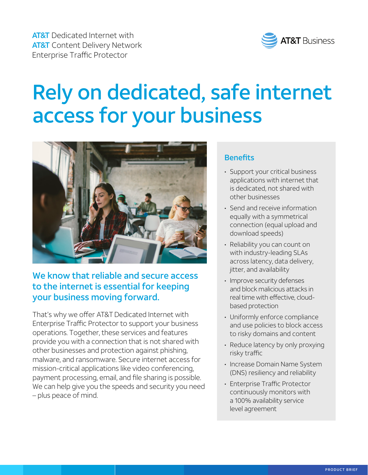

# Rely on dedicated, safe internet access for your business



# We know that reliable and secure access to the internet is essential for keeping your business moving forward.

That's why we offer AT&T Dedicated Internet with Enterprise Traffic Protector to support your business operations. Together, these services and features provide you with a connection that is not shared with other businesses and protection against phishing, malware, and ransomware. Secure internet access for mission-critical applications like video conferencing, payment processing, email, and file sharing is possible. We can help give you the speeds and security you need – plus peace of mind.

## **Benefits**

- Support your critical business applications with internet that is dedicated, not shared with other businesses
- Send and receive information equally with a symmetrical connection (equal upload and download speeds)
- Reliability you can count on with industry-leading SLAs across latency, data delivery, jitter, and availability
- Improve security defenses and block malicious attacks in real time with effective, cloudbased protection
- Uniformly enforce compliance and use policies to block access to risky domains and content
- Reduce latency by only proxying risky traffic
- Increase Domain Name System (DNS) resiliency and reliability
- Enterprise Traffic Protector continuously monitors with a 100% availability service level agreement